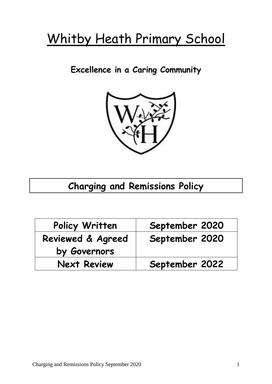# Whitby Heath Primary School

**Excellence in a Caring Community**



# **Charging and Remissions Policy**

| Policy Written               | September 2020 |
|------------------------------|----------------|
| <b>Reviewed &amp; Agreed</b> | September 2020 |
| by Governors                 |                |
| <b>Next Review</b>           | September 2022 |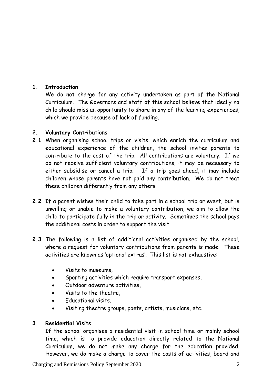# **1. Introduction**

We do not charge for any activity undertaken as part of the National Curriculum. The Governors and staff of this school believe that ideally no child should miss an opportunity to share in any of the learning experiences, which we provide because of lack of funding.

## **2. Voluntary Contributions**

- **2.1** When organising school trips or visits, which enrich the curriculum and educational experience of the children, the school invites parents to contribute to the cost of the trip. All contributions are voluntary. If we do not receive sufficient voluntary contributions, it may be necessary to either subsidise or cancel a trip. If a trip goes ahead, it may include children whose parents have not paid any contribution. We do not treat these children differently from any others.
- **2.2** If a parent wishes their child to take part in a school trip or event, but is unwilling or unable to make a voluntary contribution, we aim to allow the child to participate fully in the trip or activity. Sometimes the school pays the additional costs in order to support the visit.
- **2.3** The following is a list of additional activities organised by the school, where a request for voluntary contributions from parents is made. These activities are known as 'optional extras'. This list is not exhaustive:
	- Visits to museums,
	- Sporting activities which require transport expenses,
	- Outdoor adventure activities,
	- Visits to the theatre,
	- Educational visits,
	- Visiting theatre groups, poets, artists, musicians, etc.

#### **3. Residential Visits**

If the school organises a residential visit in school time or mainly school time, which is to provide education directly related to the National Curriculum, we do not make any charge for the education provided. However, we do make a charge to cover the costs of activities, board and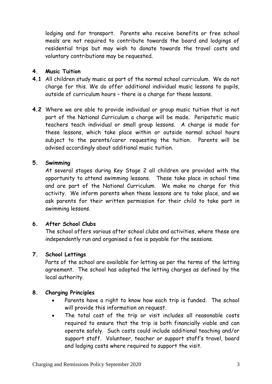lodging and for transport. Parents who receive benefits or free school meals are not required to contribute towards the board and lodgings of residential trips but may wish to donate towards the travel costs and voluntary contributions may be requested.

### **4. Music Tuition**

- **4.1** All children study music as part of the normal school curriculum. We do not charge for this. We do offer additional individual music lessons to pupils, outside of curriculum hours – there is a charge for these lessons.
- **4.2** Where we are able to provide individual or group music tuition that is not part of the National Curriculum a charge will be made. Peripatetic music teachers teach individual or small group lessons. A charge is made for these lessons, which take place within or outside normal school hours subject to the parents/carer requesting the tuition. Parents will be advised accordingly about additional music tuition.

#### **5. Swimming**

At several stages during Key Stage 2 all children are provided with the opportunity to attend swimming lessons.These take place in school time and are part of the National Curriculum. We make no charge for this activity. We inform parents when these lessons are to take place, and we ask parents for their written permission for their child to take part in swimming lessons.

#### **6. After School Clubs**

The school offers various after school clubs and activities, where these are independently run and organised a fee is payable for the sessions.

#### **7. School Lettings**

Parts of the school are available for letting as per the terms of the letting agreement. The school has adopted the letting charges as defined by the local authority.

#### **8. Charging Principles**

- Parents have a right to know how each trip is funded. The school will provide this information on request.
- The total cost of the trip or visit includes all reasonable costs required to ensure that the trip is both financially viable and can operate safely. Such costs could include additional teaching and/or support staff. Volunteer, teacher or support staff's travel, board and lodging costs where required to support the visit.